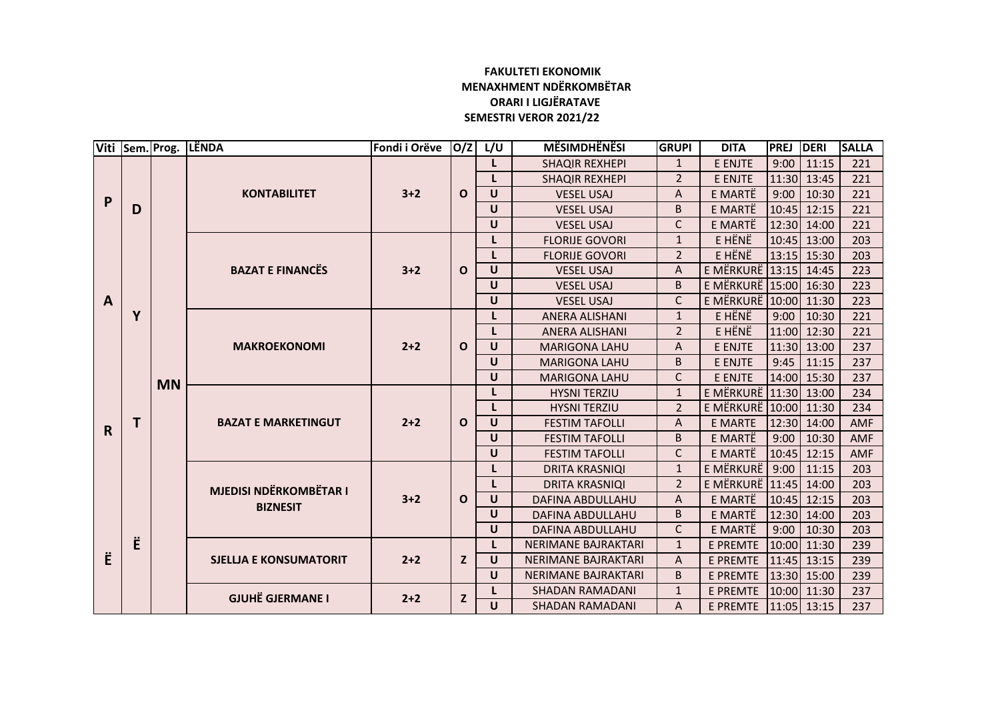## **FAKULTETI EKONOMIK MENAXHMENT NDËRKOMBËTAR ORARI I LIGJËRATAVE SEMESTRI VEROR 2021/22**

|              | Viti Sem. Prog. |           | LËNDA                                                       | Fondi i Orëve | O/Z                                                                                                                                                                                                     | L/U                    | <b>MËSIMDHËNËSI</b>        | <b>GRUPI</b>                          | <b>DITA</b>               | <b>PREJ</b> | DERI          | <b>SALLA</b> |
|--------------|-----------------|-----------|-------------------------------------------------------------|---------------|---------------------------------------------------------------------------------------------------------------------------------------------------------------------------------------------------------|------------------------|----------------------------|---------------------------------------|---------------------------|-------------|---------------|--------------|
| P            |                 |           | <b>KONTABILITET</b>                                         | $3+2$         | $\Omega$                                                                                                                                                                                                |                        | <b>SHAQIR REXHEPI</b>      | $\mathbf{1}$                          | E ENJTE                   | 9:00        | 11:15         | 221          |
|              |                 |           |                                                             |               |                                                                                                                                                                                                         | L.                     | <b>SHAQIR REXHEPI</b>      | $\overline{2}$                        | E ENJTE                   |             | 11:30 13:45   | 221          |
|              | D               |           |                                                             |               |                                                                                                                                                                                                         | $\cup$                 | <b>VESEL USAJ</b>          | A                                     | E MARTË                   | 9:00        | 10:30         | 221          |
|              |                 |           |                                                             |               |                                                                                                                                                                                                         | $\cup$                 | <b>VESEL USAJ</b>          | B                                     | E MARTË                   |             | 10:45 12:15   | 221          |
|              |                 |           |                                                             |               |                                                                                                                                                                                                         | $\cup$                 | <b>VESEL USAJ</b>          | C                                     | E MARTË                   |             | 12:30 14:00   | 221          |
|              |                 | <b>MN</b> | <b>BAZAT E FINANCËS</b>                                     | $3 + 2$       | E HËNË<br><b>FLORIJE GOVORI</b><br>$\mathbf{1}$<br>$\overline{2}$<br>E HËNË<br><b>FLORIJE GOVORI</b><br>$\mathbf{o}$<br>$\cup$<br>A<br><b>VESEL USAJ</b><br><sub>B</sub><br>$\cup$<br><b>VESEL USAJ</b> |                        |                            |                                       |                           |             | 10:45 13:00   | 203          |
|              |                 |           |                                                             |               |                                                                                                                                                                                                         |                        |                            |                                       |                           |             | 13:15 15:30   | 203          |
|              |                 |           |                                                             |               |                                                                                                                                                                                                         |                        |                            |                                       | E MËRKURË 13:15 14:45     |             |               | 223          |
|              |                 |           |                                                             |               |                                                                                                                                                                                                         | E MËRKURË 15:00 16:30  |                            |                                       | 223                       |             |               |              |
| $\mathbf{A}$ |                 |           |                                                             |               |                                                                                                                                                                                                         | $\cup$                 | <b>VESEL USAJ</b>          | $\mathsf{C}$                          | E MËRKURË 10:00 11:30     |             |               | 223          |
|              | Y               |           | <b>MAKROEKONOMI</b><br><b>BAZAT E MARKETINGUT</b>           |               |                                                                                                                                                                                                         |                        | <b>ANERA ALISHANI</b>      | $\mathbf{1}$                          | E HËNË                    | 9:00        | 10:30         | 221          |
|              |                 |           |                                                             |               |                                                                                                                                                                                                         | L                      | <b>ANERA ALISHANI</b>      | $\overline{2}$                        | E HËNË                    |             | 11:00 12:30   | 221          |
|              | т               |           |                                                             | $2 + 2$       | $\mathbf{o}$                                                                                                                                                                                            | $\cup$                 | <b>MARIGONA LAHU</b>       | A                                     | E ENJTE                   |             | 11:30 13:00   | 237          |
|              |                 |           |                                                             |               |                                                                                                                                                                                                         | $\cup$                 | <b>MARIGONA LAHU</b>       | B                                     | E ENJTE                   | 9:45        | 11:15         | 237          |
|              |                 |           |                                                             |               |                                                                                                                                                                                                         | $\cup$                 | <b>MARIGONA LAHU</b>       | $\mathsf{C}$                          | E ENJTE                   |             | 14:00 15:30   | 237          |
|              |                 |           |                                                             |               |                                                                                                                                                                                                         |                        | <b>HYSNI TERZIU</b>        | E MËRKURË 11:30 13:00<br>$\mathbf{1}$ |                           |             |               | 234          |
|              |                 |           |                                                             | $2 + 2$       | $\mathbf{o}$                                                                                                                                                                                            | L                      | <b>HYSNI TERZIU</b>        | $\overline{2}$                        | E MËRKURË 10:00 11:30     |             |               | 234          |
| $\mathbf R$  |                 |           |                                                             |               |                                                                                                                                                                                                         | $\cup$                 | <b>FESTIM TAFOLLI</b>      | A                                     | E MARTE                   |             | 12:30 14:00   | AMF          |
|              |                 |           |                                                             |               |                                                                                                                                                                                                         | $\mathsf{U}$           | <b>FESTIM TAFOLLI</b>      | B                                     | E MARTË                   | 9:00        | 10:30         | <b>AMF</b>   |
|              |                 |           |                                                             |               |                                                                                                                                                                                                         | $\cup$                 | <b>FESTIM TAFOLLI</b>      | $\mathsf{C}$<br>E MARTË               |                           | 10:45 12:15 | <b>AMF</b>    |              |
|              |                 |           | <b>MJEDISI NDËRKOMBËTAR I</b><br>$3 + 2$<br><b>BIZNESIT</b> |               |                                                                                                                                                                                                         |                        | <b>DRITA KRASNIQI</b>      |                                       | E MËRKURË<br>$\mathbf{1}$ | 9:00        | 11:15         | 203          |
|              |                 |           |                                                             |               |                                                                                                                                                                                                         |                        | <b>DRITA KRASNIQI</b>      | $\overline{2}$                        | E MËRKURË 11:45 14:00     |             |               | 203          |
|              |                 |           |                                                             |               | $\mathbf{o}$                                                                                                                                                                                            | $\cup$                 | <b>DAFINA ABDULLAHU</b>    | A                                     | E MARTË                   |             | 10:45 12:15   | 203          |
|              |                 |           |                                                             |               |                                                                                                                                                                                                         | $\cup$                 | <b>DAFINA ABDULLAHU</b>    | B                                     | E MARTË                   |             | 12:30 14:00   | 203          |
|              | Ë               |           |                                                             |               |                                                                                                                                                                                                         | $\cup$                 | <b>DAFINA ABDULLAHU</b>    | C                                     | E MARTË                   | 9:00        | 10:30         | 203          |
| Ë            |                 |           | <b>SJELLJA E KONSUMATORIT</b>                               |               | z                                                                                                                                                                                                       |                        | NERIMANE BAJRAKTARI        | $\mathbf{1}$                          | <b>E PREMTE</b>           |             | 10:00 11:30   | 239          |
|              |                 |           |                                                             | $2+2$         |                                                                                                                                                                                                         | $\cup$                 | <b>NERIMANE BAJRAKTARI</b> | A                                     | <b>E PREMTE</b>           |             | $11:45$ 13:15 | 239          |
|              |                 |           |                                                             |               |                                                                                                                                                                                                         | $\cup$                 | NERIMANE BAJRAKTARI        | B                                     | <b>E PREMTE</b>           |             | 13:30 15:00   | 239          |
|              |                 |           | <b>GJUHË GJERMANE I</b><br>$2+2$                            |               | z                                                                                                                                                                                                       |                        | <b>SHADAN RAMADANI</b>     | $\mathbf{1}$                          | <b>E PREMTE</b>           |             | 10:00 11:30   | 237          |
|              |                 |           |                                                             |               | U                                                                                                                                                                                                       | <b>SHADAN RAMADANI</b> | A                          | <b>E PREMTE</b>                       |                           | 11:05 13:15 | 237           |              |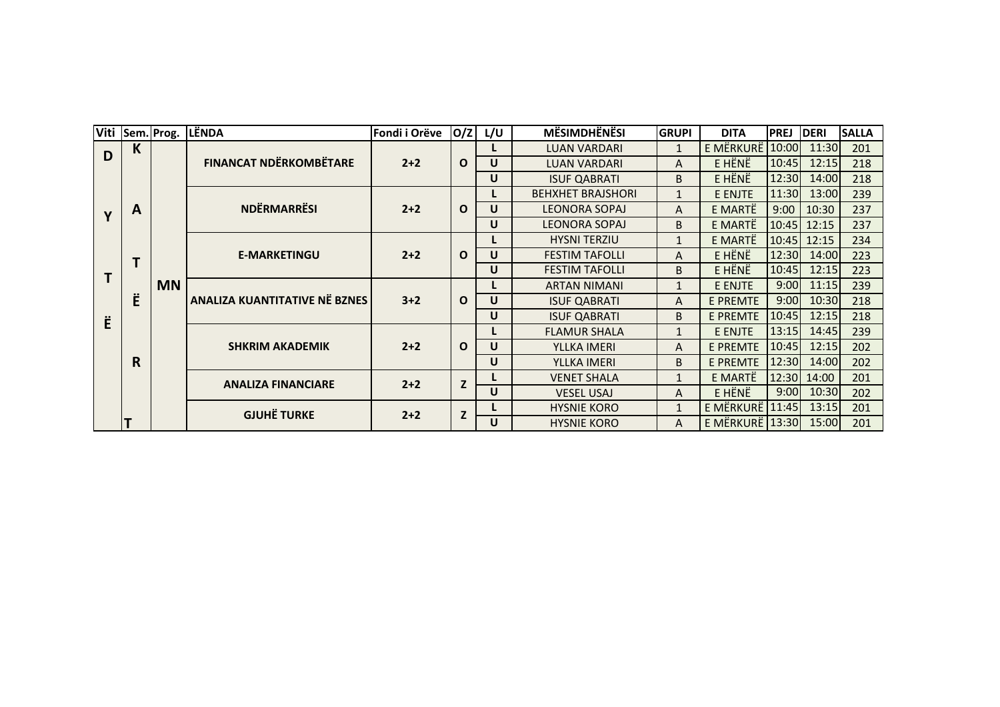| Viti        |              | Sem. Prog. | <b>LËNDA</b>                                            | Fondi i Orëve | O/Z          | L/U                            | <b>MËSIMDHËNËSI</b>      | <b>GRUPI</b>            | <b>DITA</b>     | <b>PREJ</b> | <b>DERI</b>   | <b>SALLA</b> |
|-------------|--------------|------------|---------------------------------------------------------|---------------|--------------|--------------------------------|--------------------------|-------------------------|-----------------|-------------|---------------|--------------|
| D           | $\mathsf{K}$ |            | <b>FINANCAT NDËRKOMBËTARE</b>                           | $2+2$         | $\mathbf{o}$ |                                | <b>LUAN VARDARI</b>      | $\mathbf{1}$            | E MËRKURË 10:00 |             | 11:30         | 201          |
|             |              |            |                                                         |               |              | $\mathsf{U}$                   | <b>LUAN VARDARI</b>      | A                       | E HËNË          | 10:45       | 12:15         | 218          |
|             |              |            |                                                         |               |              | U                              | <b>ISUF QABRATI</b>      | B.                      | E HËNË          | 12:30       | 14:00         | 218          |
|             | A<br>T       |            | <b>NDËRMARRËSI</b>                                      |               |              |                                | <b>BEHXHET BRAJSHORI</b> | $\mathbf{1}$            | E ENJTE         | 11:30       | 13:00         | 239          |
| $\mathbf v$ |              | <b>MN</b>  |                                                         | $2+2$         | $\Omega$     | U                              | <b>LEONORA SOPAJ</b>     | A                       | E MARTË         | 9:00        | 10:30         | 237          |
|             |              |            |                                                         |               |              | <b>LEONORA SOPAJ</b><br>U<br>B | E MARTË                  | 10:45                   | 12:15           | 237         |               |              |
|             |              |            | <b>E-MARKETINGU</b>                                     |               |              |                                | <b>HYSNI TERZIU</b>      | $\mathbf{1}$            | E MARTË         |             | $10:45$ 12:15 | 234          |
|             |              |            |                                                         | $2+2$         | $\mathbf{o}$ | U                              | <b>FESTIM TAFOLLI</b>    | A                       | E HËNË          | 12:30       | 14:00         | 223          |
|             |              |            |                                                         |               |              | U                              | <b>FESTIM TAFOLLI</b>    | B                       | E HËNË          | 10:45       | 12:15         | 223          |
|             | Ë<br>R       |            | ANALIZA KUANTITATIVE NË BZNES<br><b>SHKRIM AKADEMIK</b> |               |              |                                | <b>ARTAN NIMANI</b>      | E ENJTE<br>$\mathbf{1}$ | 9:00            | 11:15       | 239           |              |
|             |              |            |                                                         | $3+2$         | $\Omega$     | U                              | <b>ISUF QABRATI</b>      | A                       | <b>E PREMTE</b> | 9:00        | 10:30         | 218          |
| Ë           |              |            |                                                         |               |              | U<br>B<br><b>ISUF QABRATI</b>  | <b>E PREMTE</b>          | 10:45                   | 12:15           | 218         |               |              |
|             |              |            |                                                         |               |              |                                | <b>FLAMUR SHALA</b>      | 1                       | E ENJTE         | 13:15       | 14:45         | 239          |
|             |              |            |                                                         | $2+2$         | $\Omega$     | U                              | YLLKA IMERI              | A                       | <b>E PREMTE</b> | 10:45       | 12:15         | 202          |
|             |              |            |                                                         |               |              | $\mathsf{U}$                   | YLLKA IMERI              | B                       | <b>E PREMTE</b> | 12:30       | 14:00         | 202          |
|             |              |            | <b>ANALIZA FINANCIARE</b>                               | $2+2$         | $\mathbf{Z}$ |                                | <b>VENET SHALA</b>       | $\mathbf{1}$            | E MARTË         | 12:30       | 14:00         | 201          |
|             |              |            |                                                         |               |              | U                              | <b>VESEL USAJ</b>        | A                       | E HËNË          | 9:00        | 10:30         | 202          |
|             |              |            | <b>GJUHË TURKE</b>                                      | $2+2$         | Z            |                                | <b>HYSNIE KORO</b>       | $\mathbf{1}$            | E MËRKURË 11:45 |             | 13:15         | 201          |
|             |              |            |                                                         |               |              | U                              | <b>HYSNIE KORO</b>       | A                       | E MËRKURË 13:30 |             | 15:00         | 201          |